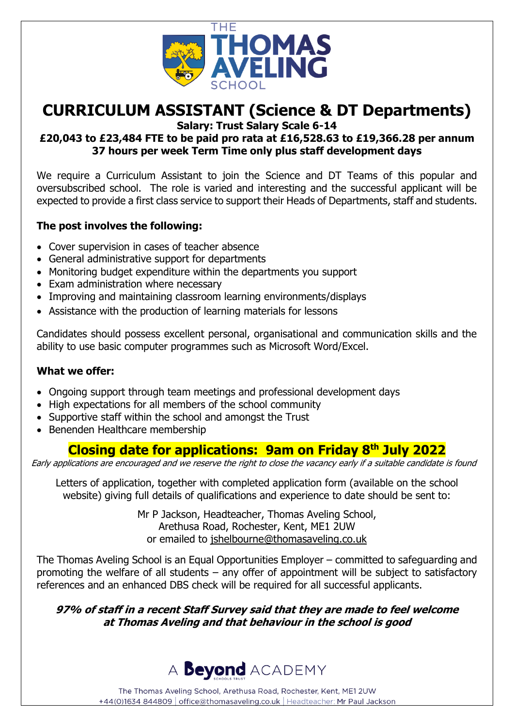

# **CURRICULUM ASSISTANT (Science & DT Departments)**

**Salary: Trust Salary Scale 6-14**

## **£20,043 to £23,484 FTE to be paid pro rata at £16,528.63 to £19,366.28 per annum 37 hours per week Term Time only plus staff development days**

We require a Curriculum Assistant to join the Science and DT Teams of this popular and oversubscribed school. The role is varied and interesting and the successful applicant will be expected to provide a first class service to support their Heads of Departments, staff and students.

## **The post involves the following:**

- Cover supervision in cases of teacher absence
- General administrative support for departments
- Monitoring budget expenditure within the departments you support
- Exam administration where necessary
- Improving and maintaining classroom learning environments/displays
- Assistance with the production of learning materials for lessons

Candidates should possess excellent personal, organisational and communication skills and the ability to use basic computer programmes such as Microsoft Word/Excel.

## **What we offer:**

- Ongoing support through team meetings and professional development days
- High expectations for all members of the school community
- Supportive staff within the school and amongst the Trust
- Benenden Healthcare membership

# **Closing date for applications: 9am on Friday 8th July 2022**

Early applications are encouraged and we reserve the right to close the vacancy early if a suitable candidate is found

Letters of application, together with completed application form (available on the school website) giving full details of qualifications and experience to date should be sent to:

> Mr P Jackson, Headteacher, Thomas Aveling School, Arethusa Road, Rochester, Kent, ME1 2UW or emailed to [jshelbourne@thomasaveling.co.uk](mailto:jshelbourne@thomasaveling.co.uk)

The Thomas Aveling School is an Equal Opportunities Employer – committed to safeguarding and promoting the welfare of all students – any offer of appointment will be subject to satisfactory references and an enhanced DBS check will be required for all successful applicants.

**97% of staff in a recent Staff Survey said that they are made to feel welcome at Thomas Aveling and that behaviour in the school is good**



The Thomas Aveling School, Arethusa Road, Rochester, Kent, ME1 2UW +44(0)1634 844809 | office@thomasaveling.co.uk | Headteacher: Mr Paul Jackson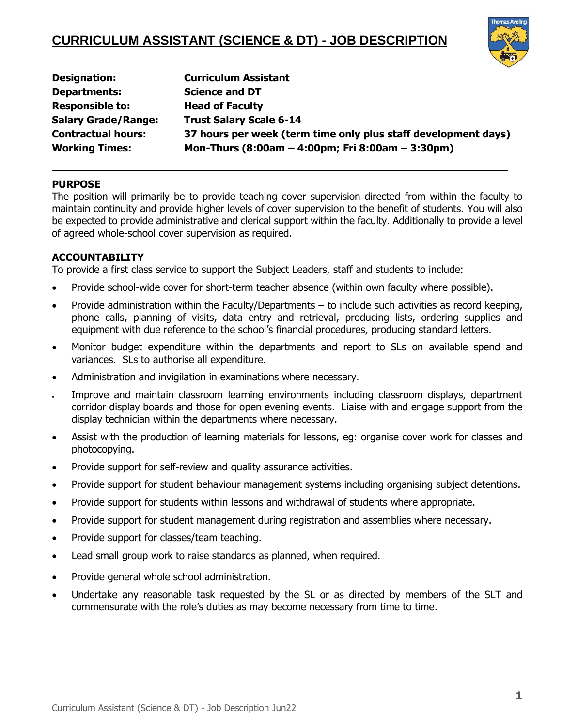

| <b>Designation:</b>        | <b>Curriculum Assistant</b>                                    |
|----------------------------|----------------------------------------------------------------|
| <b>Departments:</b>        | <b>Science and DT</b>                                          |
| <b>Responsible to:</b>     | <b>Head of Faculty</b>                                         |
| <b>Salary Grade/Range:</b> | <b>Trust Salary Scale 6-14</b>                                 |
| <b>Contractual hours:</b>  | 37 hours per week (term time only plus staff development days) |
| <b>Working Times:</b>      | Mon-Thurs (8:00am – 4:00pm; Fri 8:00am – 3:30pm)               |

**\_\_\_\_\_\_\_\_\_\_\_\_\_\_\_\_\_\_\_\_\_\_\_\_\_\_\_\_\_\_\_\_\_\_\_\_\_\_\_\_\_\_\_\_\_\_\_\_\_\_\_\_\_\_\_\_\_\_\_\_\_\_\_\_\_\_\_\_\_\_\_** 

### **PURPOSE**

The position will primarily be to provide teaching cover supervision directed from within the faculty to maintain continuity and provide higher levels of cover supervision to the benefit of students. You will also be expected to provide administrative and clerical support within the faculty. Additionally to provide a level of agreed whole-school cover supervision as required.

#### **ACCOUNTABILITY**

To provide a first class service to support the Subject Leaders, staff and students to include:

- Provide school-wide cover for short-term teacher absence (within own faculty where possible).
- Provide administration within the Faculty/Departments to include such activities as record keeping, phone calls, planning of visits, data entry and retrieval, producing lists, ordering supplies and equipment with due reference to the school's financial procedures, producing standard letters.
- Monitor budget expenditure within the departments and report to SLs on available spend and variances. SLs to authorise all expenditure.
- Administration and invigilation in examinations where necessary.
- Improve and maintain classroom learning environments including classroom displays, department corridor display boards and those for open evening events. Liaise with and engage support from the display technician within the departments where necessary.
- Assist with the production of learning materials for lessons, eg: organise cover work for classes and photocopying.
- Provide support for self-review and quality assurance activities.
- Provide support for student behaviour management systems including organising subject detentions.
- Provide support for students within lessons and withdrawal of students where appropriate.
- Provide support for student management during registration and assemblies where necessary.
- Provide support for classes/team teaching.
- Lead small group work to raise standards as planned, when required.
- Provide general whole school administration.
- Undertake any reasonable task requested by the SL or as directed by members of the SLT and commensurate with the role's duties as may become necessary from time to time.